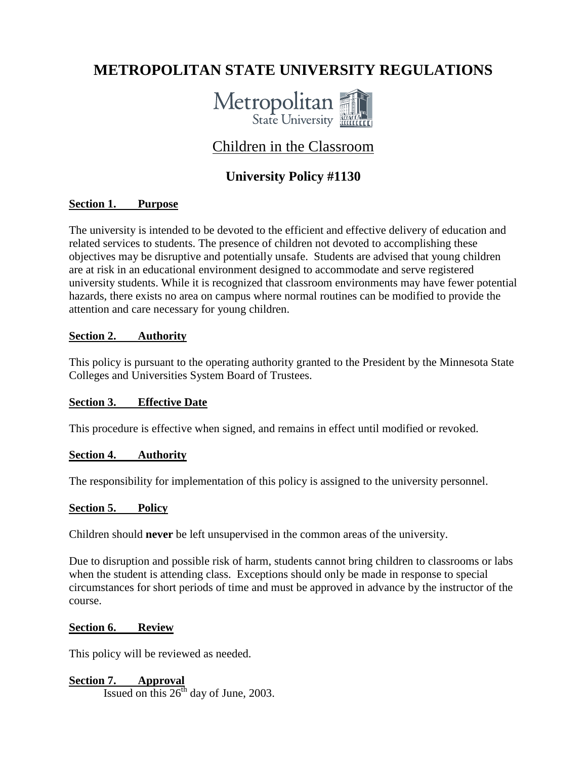# **METROPOLITAN STATE UNIVERSITY REGULATIONS**



## Children in the Classroom

### **University Policy #1130**

#### **Section 1. Purpose**

The university is intended to be devoted to the efficient and effective delivery of education and related services to students. The presence of children not devoted to accomplishing these objectives may be disruptive and potentially unsafe. Students are advised that young children are at risk in an educational environment designed to accommodate and serve registered university students. While it is recognized that classroom environments may have fewer potential hazards, there exists no area on campus where normal routines can be modified to provide the attention and care necessary for young children.

#### **Section 2. Authority**

This policy is pursuant to the operating authority granted to the President by the Minnesota State Colleges and Universities System Board of Trustees.

#### **Section 3. Effective Date**

This procedure is effective when signed, and remains in effect until modified or revoked.

#### **Section 4. Authority**

The responsibility for implementation of this policy is assigned to the university personnel.

#### **Section 5. Policy**

Children should **never** be left unsupervised in the common areas of the university.

Due to disruption and possible risk of harm, students cannot bring children to classrooms or labs when the student is attending class. Exceptions should only be made in response to special circumstances for short periods of time and must be approved in advance by the instructor of the course.

#### **Section 6. Review**

This policy will be reviewed as needed.

**Section 7. Approval** Issued on this  $26<sup>th</sup>$  day of June, 2003.